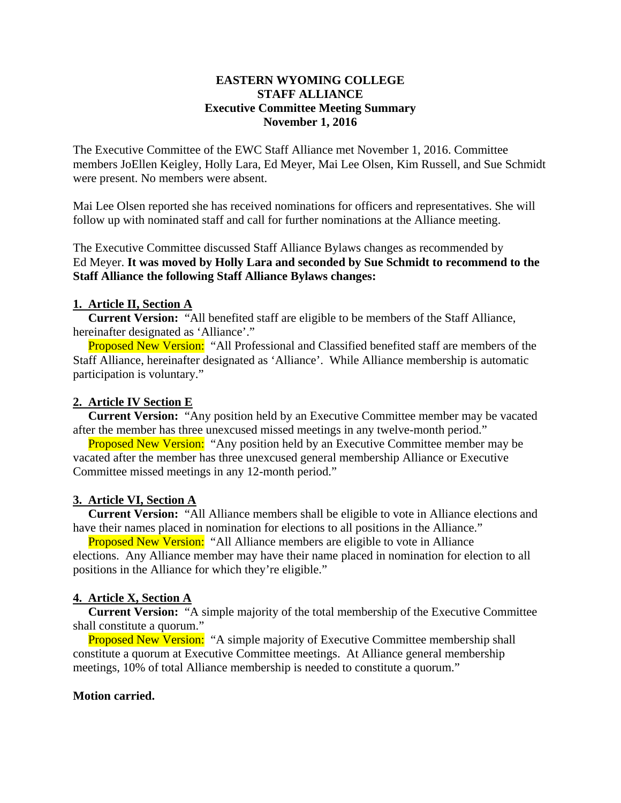#### **EASTERN WYOMING COLLEGE STAFF ALLIANCE Executive Committee Meeting Summary November 1, 2016**

The Executive Committee of the EWC Staff Alliance met November 1, 2016. Committee members JoEllen Keigley, Holly Lara, Ed Meyer, Mai Lee Olsen, Kim Russell, and Sue Schmidt were present. No members were absent.

Mai Lee Olsen reported she has received nominations for officers and representatives. She will follow up with nominated staff and call for further nominations at the Alliance meeting.

The Executive Committee discussed Staff Alliance Bylaws changes as recommended by Ed Meyer. **It was moved by Holly Lara and seconded by Sue Schmidt to recommend to the Staff Alliance the following Staff Alliance Bylaws changes:** 

### **1. Article II, Section A**

 **Current Version:** "All benefited staff are eligible to be members of the Staff Alliance, hereinafter designated as 'Alliance'."

Proposed New Version: "All Professional and Classified benefited staff are members of the Staff Alliance, hereinafter designated as 'Alliance'. While Alliance membership is automatic participation is voluntary."

### **2. Article IV Section E**

 **Current Version:** "Any position held by an Executive Committee member may be vacated after the member has three unexcused missed meetings in any twelve-month period."

**Proposed New Version:** "Any position held by an Executive Committee member may be vacated after the member has three unexcused general membership Alliance or Executive Committee missed meetings in any 12-month period."

# **3. Article VI, Section A**

 **Current Version:** "All Alliance members shall be eligible to vote in Alliance elections and have their names placed in nomination for elections to all positions in the Alliance."

**Proposed New Version:** "All Alliance members are eligible to vote in Alliance elections. Any Alliance member may have their name placed in nomination for election to all positions in the Alliance for which they're eligible."

# **4. Article X, Section A**

 **Current Version:** "A simple majority of the total membership of the Executive Committee shall constitute a quorum."

Proposed New Version: "A simple majority of Executive Committee membership shall constitute a quorum at Executive Committee meetings. At Alliance general membership meetings, 10% of total Alliance membership is needed to constitute a quorum."

#### **Motion carried.**